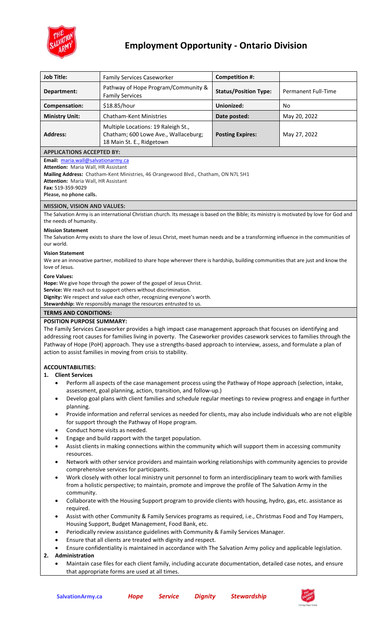

# **Employment Opportunity - Ontario Division**

| <b>Job Title:</b>                                                                                                                                                                                                                                                                                                                                                                                                                | <b>Family Services Caseworker</b>                                                                        | <b>Competition #:</b>        |                     |
|----------------------------------------------------------------------------------------------------------------------------------------------------------------------------------------------------------------------------------------------------------------------------------------------------------------------------------------------------------------------------------------------------------------------------------|----------------------------------------------------------------------------------------------------------|------------------------------|---------------------|
| Department:                                                                                                                                                                                                                                                                                                                                                                                                                      | Pathway of Hope Program/Community &<br><b>Family Services</b>                                            | <b>Status/Position Type:</b> | Permanent Full-Time |
| Compensation:                                                                                                                                                                                                                                                                                                                                                                                                                    | \$18.85/hour                                                                                             | Unionized:                   | No                  |
| <b>Ministry Unit:</b>                                                                                                                                                                                                                                                                                                                                                                                                            | <b>Chatham-Kent Ministries</b>                                                                           | Date posted:                 | May 20, 2022        |
| <b>Address:</b>                                                                                                                                                                                                                                                                                                                                                                                                                  | Multiple Locations: 19 Raleigh St.,<br>Chatham; 600 Lowe Ave., Wallaceburg;<br>18 Main St. E., Ridgetown | <b>Posting Expires:</b>      | May 27, 2022        |
| <b>APPLICATIONS ACCEPTED BY:</b>                                                                                                                                                                                                                                                                                                                                                                                                 |                                                                                                          |                              |                     |
| Email: maria.wall@salvationarmy.ca<br>Attention: Maria Wall, HR Assistant<br>Mailing Address: Chatham-Kent Ministries, 46 Orangewood Blvd., Chatham, ON N7L 5H1<br><b>Attention: Maria Wall, HR Assistant</b><br>Fax: 519-359-9029<br>Please, no phone calls.                                                                                                                                                                    |                                                                                                          |                              |                     |
| <b>MISSION, VISION AND VALUES:</b>                                                                                                                                                                                                                                                                                                                                                                                               |                                                                                                          |                              |                     |
| The Salvation Army is an international Christian church. Its message is based on the Bible; its ministry is motivated by love for God and<br>the needs of humanity.                                                                                                                                                                                                                                                              |                                                                                                          |                              |                     |
| <b>Mission Statement</b><br>The Salvation Army exists to share the love of Jesus Christ, meet human needs and be a transforming influence in the communities of<br>our world.<br><b>Vision Statement</b>                                                                                                                                                                                                                         |                                                                                                          |                              |                     |
| We are an innovative partner, mobilized to share hope wherever there is hardship, building communities that are just and know the<br>love of Jesus.<br><b>Core Values:</b>                                                                                                                                                                                                                                                       |                                                                                                          |                              |                     |
| Hope: We give hope through the power of the gospel of Jesus Christ.<br>Service: We reach out to support others without discrimination.<br>Dignity: We respect and value each other, recognizing everyone's worth.<br>Stewardship: We responsibly manage the resources entrusted to us.<br><b>TERMS AND CONDITIONS:</b>                                                                                                           |                                                                                                          |                              |                     |
| <b>POSITION PURPOSE SUMMARY:</b>                                                                                                                                                                                                                                                                                                                                                                                                 |                                                                                                          |                              |                     |
| The Family Services Caseworker provides a high impact case management approach that focuses on identifying and<br>addressing root causes for families living in poverty. The Caseworker provides casework services to families through the<br>Pathway of Hope (PoH) approach. They use a strengths-based approach to interview, assess, and formulate a plan of<br>action to assist families in moving from crisis to stability. |                                                                                                          |                              |                     |
| <b>ACCOUNTABILITIES:</b>                                                                                                                                                                                                                                                                                                                                                                                                         |                                                                                                          |                              |                     |
| 1. Client Services                                                                                                                                                                                                                                                                                                                                                                                                               |                                                                                                          |                              |                     |
| Perform all aspects of the case management process using the Pathway of Hope approach (selection, intake,<br>$\bullet$<br>assessment, goal planning, action, transition, and follow-up.)                                                                                                                                                                                                                                         |                                                                                                          |                              |                     |
| Develop goal plans with client families and schedule regular meetings to review progress and engage in further<br>$\bullet$<br>planning.                                                                                                                                                                                                                                                                                         |                                                                                                          |                              |                     |
| Provide information and referral services as needed for clients, may also include individuals who are not eligible<br>$\bullet$<br>for support through the Pathway of Hope program.                                                                                                                                                                                                                                              |                                                                                                          |                              |                     |
| Conduct home visits as needed.<br>$\bullet$<br>Engage and build rapport with the target population.<br>$\bullet$                                                                                                                                                                                                                                                                                                                 |                                                                                                          |                              |                     |
| Assist clients in making connections within the community which will support them in accessing community<br>$\bullet$<br>resources.                                                                                                                                                                                                                                                                                              |                                                                                                          |                              |                     |
| Network with other service providers and maintain working relationships with community agencies to provide<br>$\bullet$<br>comprehensive services for participants.                                                                                                                                                                                                                                                              |                                                                                                          |                              |                     |
| Work closely with other local ministry unit personnel to form an interdisciplinary team to work with families<br>$\bullet$<br>from a holistic perspective; to maintain, promote and improve the profile of The Salvation Army in the<br>community.                                                                                                                                                                               |                                                                                                          |                              |                     |
| Collaborate with the Housing Support program to provide clients with housing, hydro, gas, etc. assistance as<br>$\bullet$<br>required.                                                                                                                                                                                                                                                                                           |                                                                                                          |                              |                     |
| Assist with other Community & Family Services programs as required, i.e., Christmas Food and Toy Hampers,<br>٠                                                                                                                                                                                                                                                                                                                   |                                                                                                          |                              |                     |
| Housing Support, Budget Management, Food Bank, etc.<br>Periodically review assistance guidelines with Community & Family Services Manager.<br>٠                                                                                                                                                                                                                                                                                  |                                                                                                          |                              |                     |
| Ensure that all clients are treated with dignity and respect.<br>٠                                                                                                                                                                                                                                                                                                                                                               |                                                                                                          |                              |                     |
| Ensure confidentiality is maintained in accordance with The Salvation Army policy and applicable legislation.<br>$\bullet$                                                                                                                                                                                                                                                                                                       |                                                                                                          |                              |                     |
| Administration<br>2.<br>Maintain case files for each client family, including accurate documentation, detailed case notes, and ensure                                                                                                                                                                                                                                                                                            |                                                                                                          |                              |                     |
| that appropriate forms are used at all times.                                                                                                                                                                                                                                                                                                                                                                                    |                                                                                                          |                              |                     |

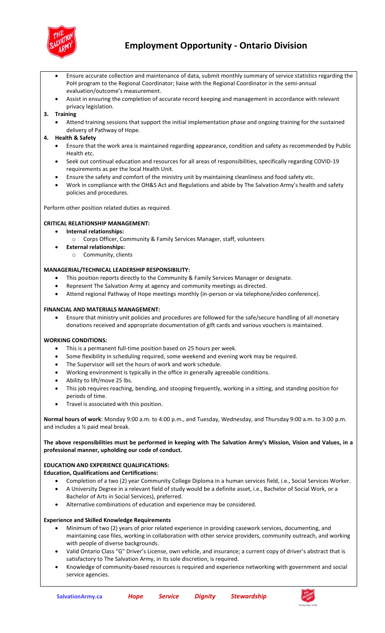

## **Employment Opportunity - Ontario Division**

- Ensure accurate collection and maintenance of data, submit monthly summary of service statistics regarding the PoH program to the Regional Coordinator; liaise with the Regional Coordinator in the semi-annual evaluation/outcome's measurement.
- Assist in ensuring the completion of accurate record keeping and management in accordance with relevant privacy legislation.

#### **3. Training**

• Attend training sessions that support the initial implementation phase and ongoing training for the sustained delivery of Pathway of Hope.

#### **4. Health & Safety**

- Ensure that the work area is maintained regarding appearance, condition and safety as recommended by Public Health etc.
- Seek out continual education and resources for all areas of responsibilities, specifically regarding COVID-19 requirements as per the local Health Unit.
- Ensure the safety and comfort of the ministry unit by maintaining cleanliness and food safety etc.
- Work in compliance with the OH&S Act and Regulations and abide by The Salvation Army's health and safety policies and procedures.

Perform other position related duties as required.

#### **CRITICAL RELATIONSHIP MANAGEMENT:**

- **Internal relationships:**
	- o Corps Officer, Community & Family Services Manager, staff, volunteers
- **External relationships:**
	- o Community, clients

#### **MANAGERIAL/TECHNICAL LEADERSHIP RESPONSIBILITY:**

- This position reports directly to the Community & Family Services Manager or designate.
- Represent The Salvation Army at agency and community meetings as directed.
- Attend regional Pathway of Hope meetings monthly (in-person or via telephone/video conference).

#### **FINANCIAL AND MATERIALS MANAGEMENT:**

• Ensure that ministry unit policies and procedures are followed for the safe/secure handling of all monetary donations received and appropriate documentation of gift cards and various vouchers is maintained.

#### **WORKING CONDITIONS:**

- This is a permanent full-time position based on 25 hours per week.
- Some flexibility in scheduling required, some weekend and evening work may be required.
- The Supervisor will set the hours of work and work schedule.
- Working environment is typically in the office in generally agreeable conditions.
- Ability to lift/move 25 lbs.
- This job requires reaching, bending, and stooping frequently, working in a sitting, and standing position for periods of time.
- Travel is associated with this position.

**Normal hours of work**: Monday 9:00 a.m. to 4:00 p.m., and Tuesday, Wednesday, and Thursday 9:00 a.m. to 3:00 p.m. and includes a ½ paid meal break.

#### **The above responsibilities must be performed in keeping with The Salvation Army's Mission, Vision and Values, in a professional manner, upholding our code of conduct.**

### **EDUCATION AND EXPERIENCE QUALIFICATIONS:**

- **Education, Qualifications and Certifications:** 
	- Completion of a two (2) year Community College Diploma in a human services field, i.e., Social Services Worker. • A University Degree in a relevant field of study would be a definite asset, i.e., Bachelor of Social Work, or a
		- Bachelor of Arts in Social Services), preferred.
	- Alternative combinations of education and experience may be considered.

#### **Experience and Skilled Knowledge Requirements**

- Minimum of two (2) years of prior related experience in providing casework services, documenting, and maintaining case files, working in collaboration with other service providers, community outreach, and working with people of diverse backgrounds.
- Valid Ontario Class "G" Driver's License, own vehicle, and insurance; a current copy of driver's abstract that is satisfactory to The Salvation Army, in its sole discretion, is required.
- Knowledge of community-based resources is required and experience networking with government and social service agencies.